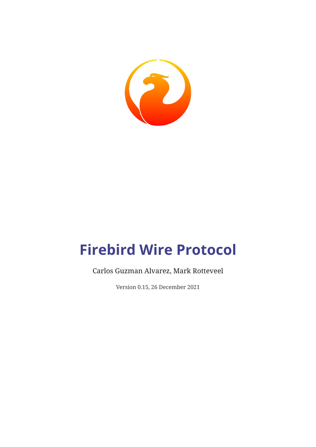

# **Firebird Wire Protocol**

# Carlos Guzman Alvarez, Mark Rotteveel

Version 0.15, 26 December 2021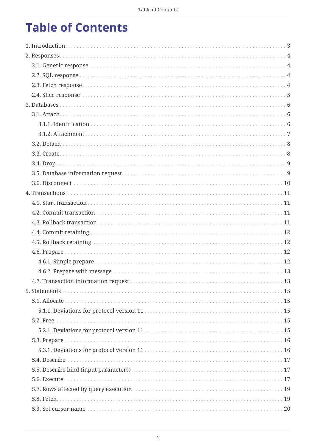# **Table of Contents**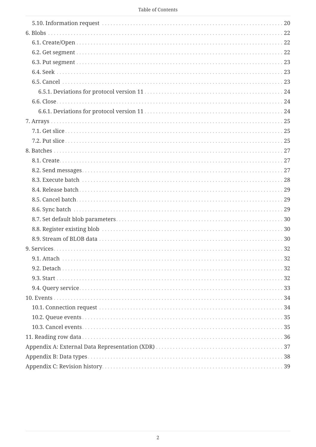|  |  | Table of Contents |
|--|--|-------------------|
|--|--|-------------------|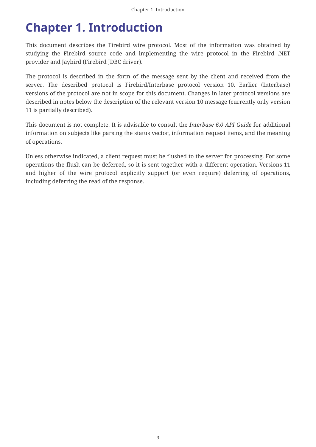# <span id="page-3-0"></span>**Chapter 1. Introduction**

This document describes the Firebird wire protocol. Most of the information was obtained by studying the Firebird source code and implementing the wire protocol in the Firebird .NET provider and Jaybird (Firebird JDBC driver).

The protocol is described in the form of the message sent by the client and received from the server. The described protocol is Firebird/Interbase protocol version 10. Earlier (Interbase) versions of the protocol are not in scope for this document. Changes in later protocol versions are described in notes below the description of the relevant version 10 message (currently only version 11 is partially described).

This document is not complete. It is advisable to consult the *Interbase 6.0 API Guide* for additional information on subjects like parsing the status vector, information request items, and the meaning of operations.

Unless otherwise indicated, a client request must be flushed to the server for processing. For some operations the flush can be deferred, so it is sent together with a different operation. Versions 11 and higher of the wire protocol explicitly support (or even require) deferring of operations, including deferring the read of the response.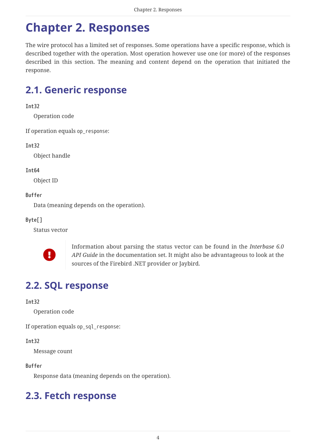# <span id="page-4-0"></span>**Chapter 2. Responses**

The wire protocol has a limited set of responses. Some operations have a specific response, which is described together with the operation. Most operation however use one (or more) of the responses described in this section. The meaning and content depend on the operation that initiated the response.

# <span id="page-4-1"></span>**2.1. Generic response**

# **Int32**

Operation code

If operation equals op\_response:

# **Int32**

Object handle

### **Int64**

Object ID

# **Buffer**

Data (meaning depends on the operation).

# **Byte[]**

Status vector



Information about parsing the status vector can be found in the *Interbase 6.0 API Guide* in the documentation set. It might also be advantageous to look at the sources of the Firebird .NET provider or Jaybird.

# <span id="page-4-2"></span>**2.2. SQL response**

# **Int32**

Operation code

If operation equals op\_sql\_response:

# **Int32**

Message count

# **Buffer**

Response data (meaning depends on the operation).

# <span id="page-4-3"></span>**2.3. Fetch response**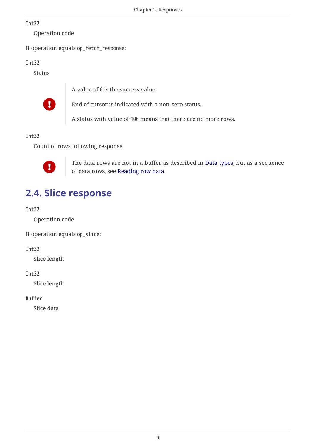Operation code

If operation equals op\_fetch\_response:

### **Int32**

Status



A value of  $\theta$  is the success value.



End of cursor is indicated with a non-zero status.

A status with value of 100 means that there are no more rows.

# **Int32**

Count of rows following response



The data rows are not in a buffer as described in [Data types](#page-38-0), but as a sequence of data rows, see [Reading row data](#page-36-0).

# <span id="page-5-0"></span>**2.4. Slice response**

# **Int32**

Operation code

If operation equals op\_slice:

# **Int32**

Slice length

# **Int32**

Slice length

#### **Buffer**

Slice data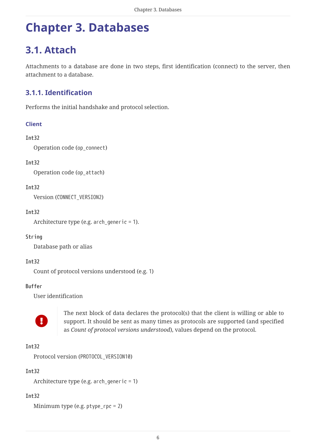# <span id="page-6-0"></span>**Chapter 3. Databases**

# <span id="page-6-1"></span>**3.1. Attach**

Attachments to a database are done in two steps, first identification (connect) to the server, then attachment to a database.

# <span id="page-6-2"></span>**3.1.1. Identification**

Performs the initial handshake and protocol selection.

### **Client**

#### **Int32**

Operation code (op\_connect)

#### **Int32**

Operation code (op\_attach)

#### **Int32**

Version (CONNECT\_VERSION2)

#### **Int32**

Architecture type (e.g. arch\_generic = 1).

#### **String**

Database path or alias

#### **Int32**

Count of protocol versions understood (e.g. 1)

#### **Buffer**

User identification



The next block of data declares the protocol(s) that the client is willing or able to support. It should be sent as many times as protocols are supported (and specified as *Count of protocol versions understood*), values depend on the protocol.

#### **Int32**

Protocol version (PROTOCOL\_VERSION10)

#### **Int32**

Architecture type (e.g. arch\_generic = 1)

#### **Int32**

Minimum type (e.g. ptype\_rpc = 2)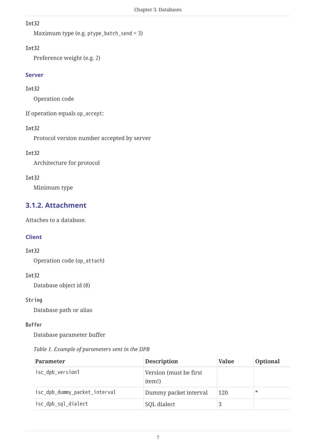```
Maximum type (e.g. ptype_batch_send = 3)
```
### **Int32**

Preference weight (e.g. 2)

#### **Server**

#### **Int32**

Operation code

If operation equals op\_accept:

### **Int32**

Protocol version number accepted by server

### **Int32**

Architecture for protocol

### **Int32**

Minimum type

# <span id="page-7-0"></span>**3.1.2. Attachment**

Attaches to a database.

# **Client**

#### **Int32**

Operation code (op\_attach)

#### **Int32**

Database object id (0)

#### **String**

Database path or alias

### **Buffer**

Database parameter buffer

#### *Table 1. Example of parameters sent in the DPB*

| <b>Parameter</b>              | <b>Description</b>                | <b>Value</b> | <b>Optional</b> |
|-------------------------------|-----------------------------------|--------------|-----------------|
| isc_dpb_version1              | Version (must be first)<br>item!) |              |                 |
| isc_dpb_dummy_packet_interval | Dummy packet interval             | 120          | $*$             |
| isc_dpb_sql_dialect           | SQL dialect                       |              |                 |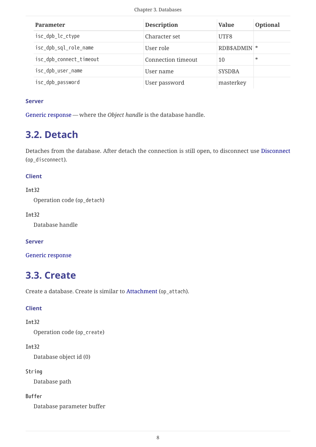| <b>Parameter</b>        | <b>Description</b>        | <b>Value</b>  | <b>Optional</b> |
|-------------------------|---------------------------|---------------|-----------------|
| isc_dpb_lc_ctype        | Character set             | UTF8          |                 |
| isc_dpb_sql_role_name   | User role                 | RDB\$ADMIN *  |                 |
| isc_dpb_connect_timeout | <b>Connection timeout</b> | 10            | $*$             |
| isc_dpb_user_name       | User name                 | <b>SYSDBA</b> |                 |
| isc_dpb_password        | User password             | masterkey     |                 |

#### **Server**

[Generic response](#page-4-1) — where the *Object handle* is the database handle.

# <span id="page-8-0"></span>**3.2. Detach**

Detaches from the database. After detach the connection is still open, to disconnect use [Disconnect](#page-10-0) (op\_disconnect).

### **Client**

#### **Int32**

Operation code (op\_detach)

#### **Int32**

Database handle

#### **Server**

[Generic response](#page-4-1)

# <span id="page-8-1"></span>**3.3. Create**

Create a database. Create is similar to [Attachment](#page-7-0) (op\_attach).

#### **Client**

#### **Int32**

Operation code (op\_create)

# **Int32**

Database object id (0)

#### **String**

Database path

#### **Buffer**

Database parameter buffer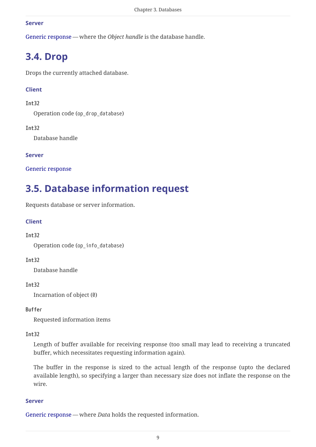#### **Server**

[Generic response](#page-4-1) — where the *Object handle* is the database handle.

# <span id="page-9-0"></span>**3.4. Drop**

Drops the currently attached database.

# **Client**

### **Int32**

Operation code (op\_drop\_database)

### **Int32**

Database handle

### **Server**

[Generic response](#page-4-1)

# <span id="page-9-1"></span>**3.5. Database information request**

Requests database or server information.

# **Client**

# **Int32**

Operation code (op\_info\_database)

#### **Int32**

Database handle

#### **Int32**

Incarnation of object (0)

#### **Buffer**

Requested information items

#### **Int32**

Length of buffer available for receiving response (too small may lead to receiving a truncated buffer, which necessitates requesting information again).

The buffer in the response is sized to the actual length of the response (upto the declared available length), so specifying a larger than necessary size does not inflate the response on the wire.

#### **Server**

[Generic response](#page-4-1) — where *Data* holds the requested information.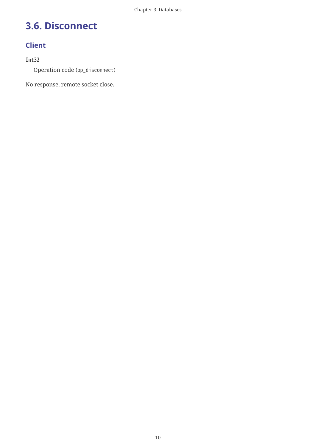# <span id="page-10-0"></span>**3.6. Disconnect**

# **Client**

# **Int32**

Operation code (op\_disconnect)

No response, remote socket close.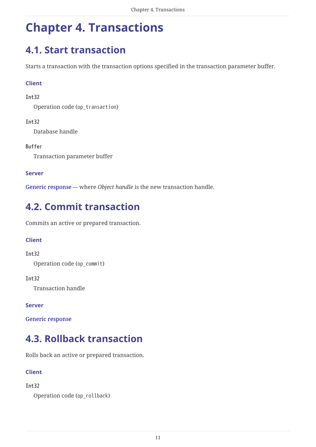# <span id="page-11-0"></span>**Chapter 4. Transactions**

# <span id="page-11-1"></span>**4.1. Start transaction**

Starts a transaction with the transaction options specified in the transaction parameter buffer.

# **Client**

# **Int32**

Operation code (op\_transaction)

# **Int32**

Database handle

# **Buffer**

Transaction parameter buffer

# **Server**

[Generic response](#page-4-1) — where *Object handle* is the new transaction handle.

# <span id="page-11-2"></span>**4.2. Commit transaction**

Commits an active or prepared transaction.

# **Client**

# **Int32**

Operation code (op\_commit)

# **Int32**

Transaction handle

# **Server**

[Generic response](#page-4-1)

# <span id="page-11-3"></span>**4.3. Rollback transaction**

Rolls back an active or prepared transaction.

# **Client**

# **Int32**

Operation code (op\_rollback)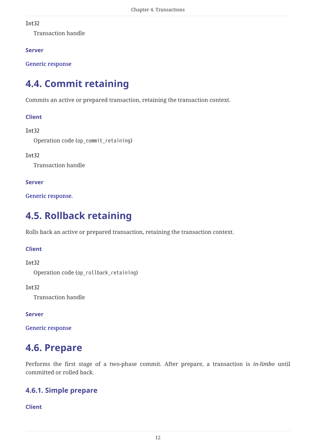Transaction handle

### **Server**

[Generic response](#page-4-1)

# <span id="page-12-0"></span>**4.4. Commit retaining**

Commits an active or prepared transaction, retaining the transaction context.

### **Client**

### **Int32**

Operation code (op\_commit\_retaining)

### **Int32**

Transaction handle

### **Server**

[Generic response.](#page-4-1)

# <span id="page-12-1"></span>**4.5. Rollback retaining**

Rolls back an active or prepared transaction, retaining the transaction context.

#### **Client**

#### **Int32**

Operation code (op\_rollback\_retaining)

#### **Int32**

Transaction handle

#### **Server**

[Generic response](#page-4-1)

# <span id="page-12-2"></span>**4.6. Prepare**

Performs the first stage of a two-phase commit. After prepare, a transaction is *in-limbo* until committed or rolled back.

# <span id="page-12-3"></span>**4.6.1. Simple prepare**

#### **Client**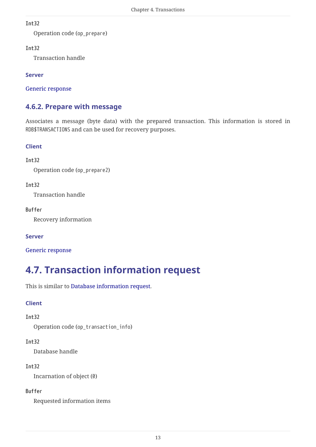Operation code (op\_prepare)

### **Int32**

Transaction handle

### **Server**

[Generic response](#page-4-1)

# <span id="page-13-0"></span>**4.6.2. Prepare with message**

Associates a message (byte data) with the prepared transaction. This information is stored in RDB\$TRANSACTIONS and can be used for recovery purposes.

# **Client**

# **Int32**

Operation code (op\_prepare2)

### **Int32**

Transaction handle

### **Buffer**

Recovery information

# **Server**

[Generic response](#page-4-1)

# <span id="page-13-1"></span>**4.7. Transaction information request**

This is similar to [Database information request](#page-9-1).

# **Client**

# **Int32**

Operation code (op\_transaction\_info)

# **Int32**

Database handle

#### **Int32**

Incarnation of object (0)

# **Buffer**

Requested information items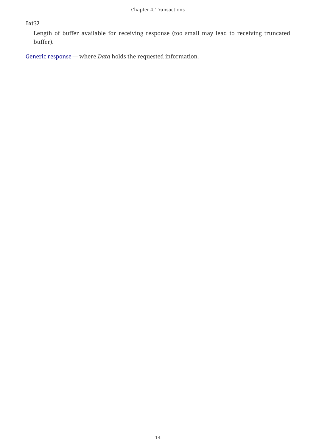Length of buffer available for receiving response (too small may lead to receiving truncated buffer).

[Generic response](#page-4-1) — where *Data* holds the requested information.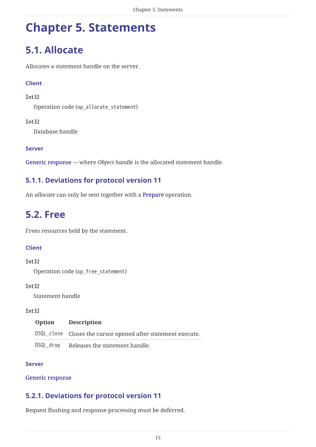# <span id="page-15-0"></span>**Chapter 5. Statements**

# <span id="page-15-1"></span>**5.1. Allocate**

Allocates a statement handle on the server.

# **Client**

#### **Int32**

Operation code (op\_allocate\_statement)

### **Int32**

Database handle

### **Server**

[Generic response](#page-4-1) — where *Object handle* is the allocated statement handle.

# <span id="page-15-2"></span>**5.1.1. Deviations for protocol version 11**

An *allocate* can only be sent together with a [Prepare](#page-16-0) operation.

# <span id="page-15-3"></span>**5.2. Free**

Frees resources held by the statement.

# **Client**

#### **Int32**

Operation code (op\_free\_statement)

#### **Int32**

Statement handle

#### **Int32**

| Option    | <b>Description</b>                                           |
|-----------|--------------------------------------------------------------|
|           | DSQL_close Closes the cursor opened after statement execute. |
| DSQL drop | Releases the statement handle.                               |

#### **Server**

#### [Generic response](#page-4-1)

# <span id="page-15-4"></span>**5.2.1. Deviations for protocol version 11**

Request flushing and response processing must be deferred.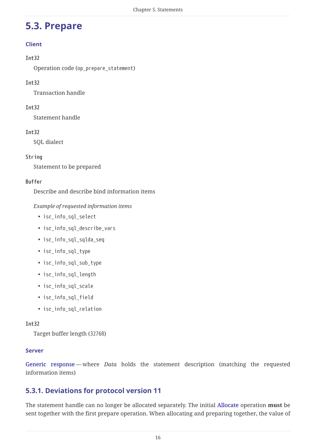# <span id="page-16-0"></span>**5.3. Prepare**

# **Client**

### **Int32**

Operation code (op\_prepare\_statement)

# **Int32**

Transaction handle

# **Int32**

Statement handle

# **Int32**

SQL dialect

# **String**

Statement to be prepared

### **Buffer**

Describe and describe bind information items

### *Example of requested information items*

- isc\_info\_sql\_select
- isc\_info\_sql\_describe\_vars
- isc\_info\_sql\_sqlda\_seq
- isc\_info\_sql\_type
- isc\_info\_sql\_sub\_type
- isc\_info\_sql\_length
- isc\_info\_sql\_scale
- isc\_info\_sql\_field
- isc\_info\_sql\_relation

#### **Int32**

Target buffer length (32768)

#### **Server**

[Generic response](#page-4-1) — where *Data* holds the statement description (matching the requested information items)

# <span id="page-16-1"></span>**5.3.1. Deviations for protocol version 11**

The statement handle can no longer be allocated separately. The initial [Allocate](#page-15-1) operation **must** be sent together with the first prepare operation. When allocating and preparing together, the value of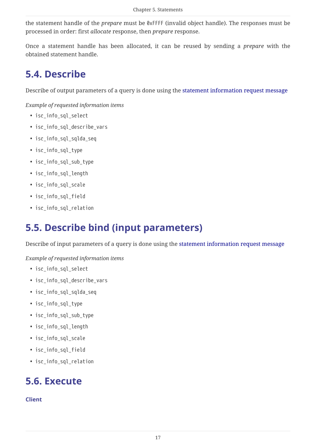the statement handle of the *prepare* must be 0xFFFF (invalid object handle). The responses must be processed in order: first *allocate* response, then *prepare* response.

Once a statement handle has been allocated, it can be reused by sending a *prepare* with the obtained statement handle.

# <span id="page-17-0"></span>**5.4. Describe**

Describe of output parameters of a query is done using the [statement information request message](#page-20-1)

*Example of requested information items*

- isc\_info\_sql\_select
- isc\_info\_sql\_describe\_vars
- isc\_info\_sql\_sqlda\_seq
- isc\_info\_sql\_type
- isc\_info\_sql\_sub\_type
- isc\_info\_sql\_length
- isc\_info\_sql\_scale
- isc\_info\_sql\_field
- isc\_info\_sql\_relation

# <span id="page-17-1"></span>**5.5. Describe bind (input parameters)**

Describe of input parameters of a query is done using the [statement information request message](#page-20-1)

*Example of requested information items*

- isc\_info\_sql\_select
- isc\_info\_sql\_describe\_vars
- isc\_info\_sql\_sqlda\_seq
- isc\_info\_sql\_type
- isc\_info\_sql\_sub\_type
- isc\_info\_sql\_length
- isc\_info\_sql\_scale
- isc\_info\_sql\_field
- isc\_info\_sql\_relation

# <span id="page-17-2"></span>**5.6. Execute**

# **Client**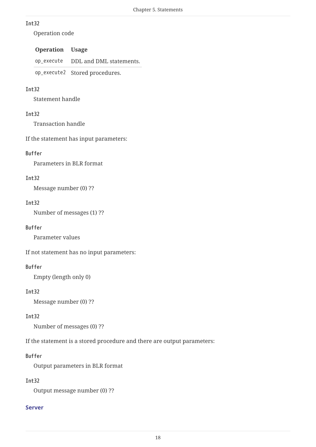Operation code

### **Operation Usage**

op\_execute DDL and DML statements.

op\_execute2 Stored procedures.

### **Int32**

Statement handle

# **Int32**

Transaction handle

If the statement has input parameters:

### **Buffer**

Parameters in BLR format

### **Int32**

Message number (0) ??

#### **Int32**

Number of messages (1) ??

#### **Buffer**

Parameter values

If not statement has no input parameters:

# **Buffer**

Empty (length only 0)

#### **Int32**

Message number (0) ??

#### **Int32**

Number of messages (0) ??

If the statement is a stored procedure and there are output parameters:

#### **Buffer**

Output parameters in BLR format

#### **Int32**

Output message number (0) ??

#### **Server**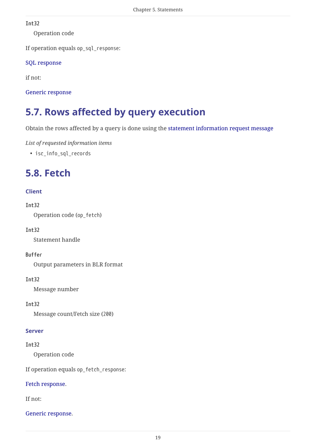Operation code

If operation equals op\_sql\_response:

# [SQL response](#page-4-2)

if not:

[Generic response](#page-4-1)

# <span id="page-19-0"></span>**5.7. Rows affected by query execution**

Obtain the rows affected by a query is done using the [statement information request message](#page-20-1)

*List of requested information items*

• isc\_info\_sql\_records

# <span id="page-19-1"></span>**5.8. Fetch**

# **Client**

### **Int32**

Operation code (op\_fetch)

# **Int32**

Statement handle

# **Buffer**

Output parameters in BLR format

#### **Int32**

Message number

# **Int32**

Message count/Fetch size (200)

#### **Server**

#### **Int32**

Operation code

If operation equals op\_fetch\_response:

#### [Fetch response.](#page-4-3)

If not:

#### [Generic response.](#page-4-1)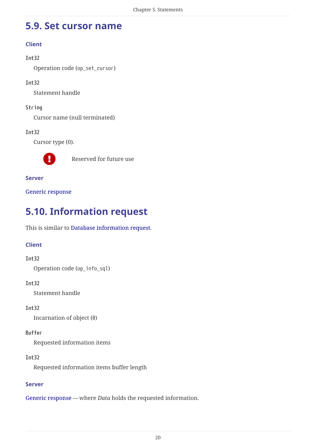# <span id="page-20-0"></span>**5.9. Set cursor name**

# **Client**

# **Int32**

Operation code (op\_set\_cursor)

# **Int32**

Statement handle

# **String**

Cursor name (null terminated)

# **Int32**

Cursor type (0).



**Reserved for future use** 

### **Server**

[Generic response](#page-4-1)

# <span id="page-20-1"></span>**5.10. Information request**

This is similar to [Database information request](#page-9-1).

# **Client**

# **Int32**

Operation code (op\_info\_sql)

# **Int32**

Statement handle

# **Int32**

Incarnation of object (0)

# **Buffer**

Requested information items

# **Int32**

Requested information items buffer length

# **Server**

[Generic response](#page-4-1) — where *Data* holds the requested information.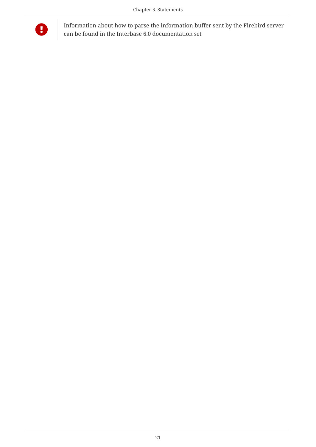

Information about how to parse the information buffer sent by the Firebird server can be found in the Interbase 6.0 documentation set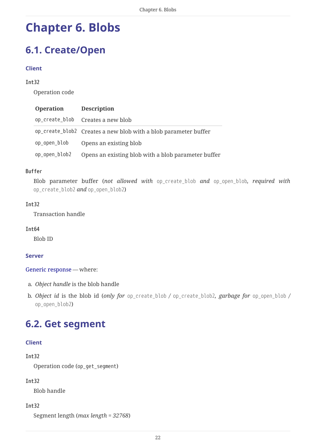# <span id="page-22-0"></span>**Chapter 6. Blobs**

# <span id="page-22-1"></span>**6.1. Create/Open**

#### **Client**

#### **Int32**

Operation code

| <b>Operation</b> | <b>Description</b>                                              |
|------------------|-----------------------------------------------------------------|
|                  | op_create_blob Creates a new blob                               |
|                  | op_create_blob2 Creates a new blob with a blob parameter buffer |
| op_open_blob     | Opens an existing blob                                          |
| op_open_blob2    | Opens an existing blob with a blob parameter buffer             |

#### **Buffer**

Blob parameter buffer (*not allowed with op\_create\_blob and op\_open\_blob, required with op\_create\_blob2 and op\_open\_blob2*)

#### **Int32**

Transaction handle

#### **Int64**

Blob ID

#### **Server**

[Generic response](#page-4-1) — where:

- a. *Object handle* is the blob handle
- b. *Object id* is the blob id (*only for op\_create\_blob / op\_create\_blob2, garbage for op\_open\_blob / op\_open\_blob2*)

# <span id="page-22-2"></span>**6.2. Get segment**

#### **Client**

#### **Int32**

Operation code (op\_get\_segment)

#### **Int32**

Blob handle

#### **Int32**

Segment length (*max length = 32768*)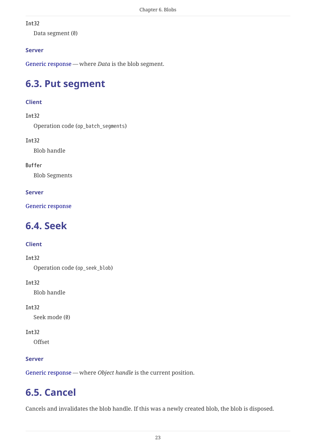Data segment (0)

# **Server**

[Generic response](#page-4-1) — where *Data* is the blob segment.

# <span id="page-23-0"></span>**6.3. Put segment**

# **Client**

# **Int32**

Operation code (op\_batch\_segments)

# **Int32**

Blob handle

# **Buffer**

Blob Segments

# **Server**

[Generic response](#page-4-1)

# <span id="page-23-1"></span>**6.4. Seek**

# **Client**

# **Int32**

Operation code (op\_seek\_blob)

# **Int32**

Blob handle

# **Int32**

Seek mode (0)

# **Int32**

**Offset** 

# **Server**

[Generic response](#page-4-1) — where *Object handle* is the current position.

# <span id="page-23-2"></span>**6.5. Cancel**

Cancels and invalidates the blob handle. If this was a newly created blob, the blob is disposed.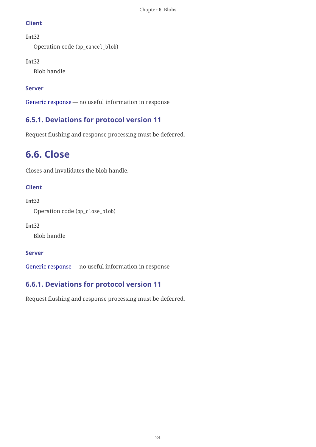#### **Client**

### **Int32**

Operation code (op\_cancel\_blob)

# **Int32**

Blob handle

# **Server**

[Generic response](#page-4-1) — no useful information in response

# <span id="page-24-0"></span>**6.5.1. Deviations for protocol version 11**

Request flushing and response processing must be deferred.

# <span id="page-24-1"></span>**6.6. Close**

Closes and invalidates the blob handle.

# **Client**

# **Int32**

Operation code (op\_close\_blob)

# **Int32**

Blob handle

# **Server**

[Generic response](#page-4-1) — no useful information in response

# <span id="page-24-2"></span>**6.6.1. Deviations for protocol version 11**

Request flushing and response processing must be deferred.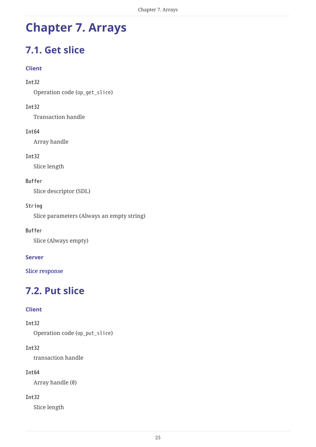# <span id="page-25-0"></span>**Chapter 7. Arrays**

# <span id="page-25-1"></span>**7.1. Get slice**

## **Client**

#### **Int32**

Operation code (op\_get\_slice)

### **Int32**

Transaction handle

### **Int64**

Array handle

### **Int32**

Slice length

# **Buffer**

Slice descriptor (SDL)

### **String**

Slice parameters (Always an empty string)

#### **Buffer**

Slice (Always empty)

# **Server**

[Slice response](#page-5-0)

# <span id="page-25-2"></span>**7.2. Put slice**

# **Client**

#### **Int32**

Operation code (op\_put\_slice)

# **Int32**

transaction handle

# **Int64**

Array handle (0)

#### **Int32**

Slice length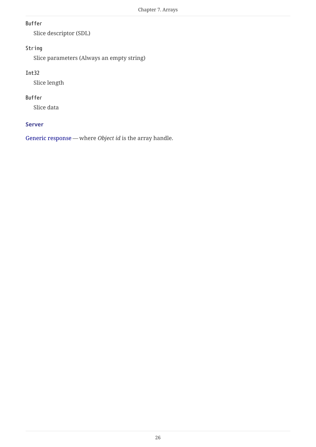## **Buffer**

Slice descriptor (SDL)

# **String**

Slice parameters (Always an empty string)

# **Int32**

Slice length

### **Buffer**

Slice data

#### **Server**

[Generic response](#page-4-1) — where *Object id* is the array handle.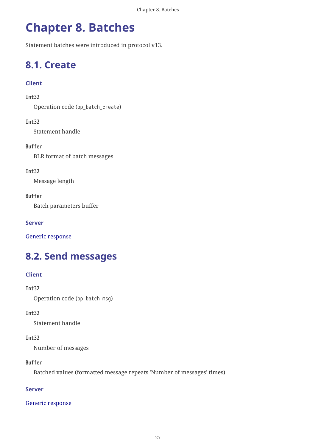# <span id="page-27-0"></span>**Chapter 8. Batches**

Statement batches were introduced in protocol v13.

# <span id="page-27-1"></span>**8.1. Create**

# **Client**

# **Int32**

Operation code (op\_batch\_create)

### **Int32**

Statement handle

### **Buffer**

BLR format of batch messages

### **Int32**

Message length

### **Buffer**

Batch parameters buffer

### **Server**

[Generic response](#page-4-1)

# <span id="page-27-2"></span>**8.2. Send messages**

# **Client**

**Int32** Operation code (op\_batch\_msg)

# **Int32**

Statement handle

#### **Int32**

Number of messages

#### **Buffer**

Batched values (formatted message repeats 'Number of messages' times)

# **Server**

#### [Generic response](#page-4-1)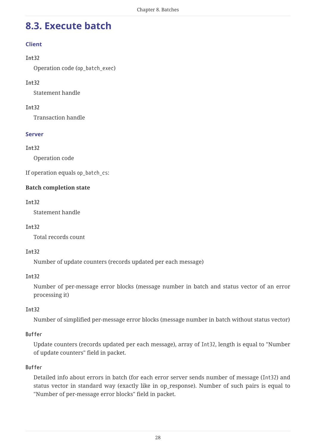# <span id="page-28-0"></span>**8.3. Execute batch**

# **Client**

### **Int32**

Operation code (op\_batch\_exec)

# **Int32**

Statement handle

# **Int32**

Transaction handle

### **Server**

# **Int32**

Operation code

If operation equals op batch cs:

# **Batch completion state**

### **Int32**

Statement handle

# **Int32**

Total records count

#### **Int32**

Number of update counters (records updated per each message)

#### **Int32**

Number of per-message error blocks (message number in batch and status vector of an error processing it)

#### **Int32**

Number of simplified per-message error blocks (message number in batch without status vector)

#### **Buffer**

Update counters (records updated per each message), array of Int32, length is equal to "Number of update counters" field in packet.

#### **Buffer**

Detailed info about errors in batch (for each error server sends number of message (Int32) and status vector in standard way (exactly like in op\_response). Number of such pairs is equal to "Number of per-message error blocks" field in packet.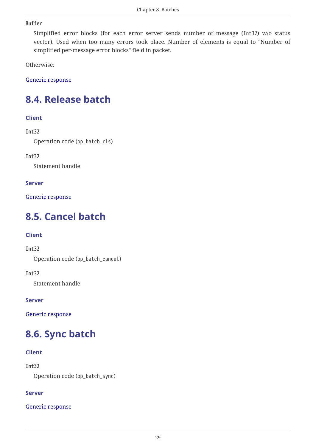#### **Buffer**

Simplified error blocks (for each error server sends number of message (Int32) w/o status vector). Used when too many errors took place. Number of elements is equal to "Number of simplified per-message error blocks" field in packet.

Otherwise:

[Generic response](#page-4-1)

# <span id="page-29-0"></span>**8.4. Release batch**

#### **Client**

### **Int32**

Operation code (op\_batch\_rls)

#### **Int32**

Statement handle

#### **Server**

[Generic response](#page-4-1)

# <span id="page-29-1"></span>**8.5. Cancel batch**

#### **Client**

#### **Int32**

Operation code (op\_batch\_cancel)

# **Int32**

Statement handle

#### **Server**

[Generic response](#page-4-1)

# <span id="page-29-2"></span>**8.6. Sync batch**

#### **Client**

**Int32**

Operation code (op\_batch\_sync)

#### **Server**

[Generic response](#page-4-1)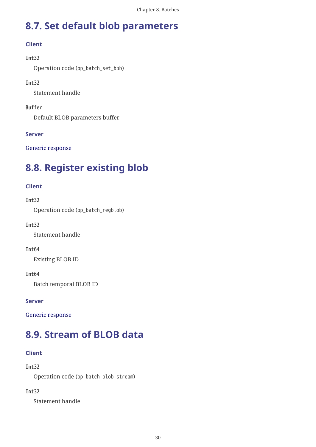# <span id="page-30-0"></span>**8.7. Set default blob parameters**

# **Client**

#### **Int32**

Operation code (op\_batch\_set\_bpb)

### **Int32**

Statement handle

### **Buffer**

Default BLOB parameters buffer

### **Server**

[Generic response](#page-4-1)

# <span id="page-30-1"></span>**8.8. Register existing blob**

# **Client**

### **Int32**

Operation code (op\_batch\_regblob)

#### **Int32**

Statement handle

#### **Int64**

Existing BLOB ID

# **Int64**

Batch temporal BLOB ID

#### **Server**

[Generic response](#page-4-1)

# <span id="page-30-2"></span>**8.9. Stream of BLOB data**

# **Client**

**Int32**

Operation code (op\_batch\_blob\_stream)

# **Int32**

Statement handle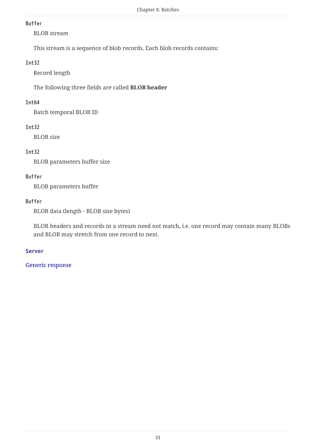#### **Buffer**

BLOB stream

This stream is a sequence of blob records. Each blob records contains:

#### **Int32**

Record length

The following three fields are called **BLOB header**

# **Int64**

Batch temporal BLOB ID

# **Int32**

BLOB size

# **Int32**

BLOB parameters buffer size

# **Buffer**

BLOB parameters buffer

# **Buffer**

BLOB data (length - BLOB size bytes)

BLOB headers and records in a stream need not match, i.e. one record may contain many BLOBs and BLOB may stretch from one record to next.

# **Server**

# [Generic response](#page-4-1)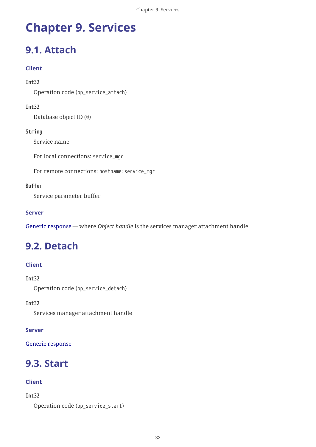# <span id="page-32-0"></span>**Chapter 9. Services**

# <span id="page-32-1"></span>**9.1. Attach**

### **Client**

#### **Int32**

Operation code (op\_service\_attach)

#### **Int32**

Database object ID (0)

#### **String**

Service name

For local connections: service\_mgr

For remote connections: hostname:service\_mgr

#### **Buffer**

Service parameter buffer

#### **Server**

[Generic response](#page-4-1) — where *Object handle* is the services manager attachment handle.

# <span id="page-32-2"></span>**9.2. Detach**

# **Client**

**Int32**

Operation code (op\_service\_detach)

**Int32**

Services manager attachment handle

#### **Server**

[Generic response](#page-4-1)

# <span id="page-32-3"></span>**9.3. Start**

#### **Client**

#### **Int32**

```
Operation code (op_service_start)
```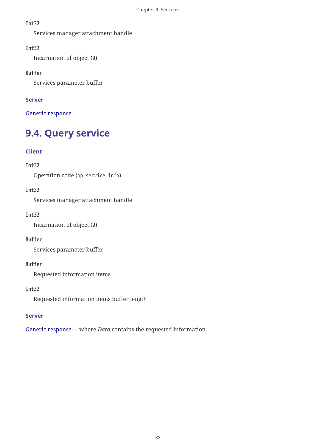Services manager attachment handle

#### **Int32**

Incarnation of object (0)

#### **Buffer**

Services parameter buffer

# **Server**

[Generic response](#page-4-1)

# <span id="page-33-0"></span>**9.4. Query service**

# **Client**

# **Int32**

Operation code (op\_service\_info)

### **Int32**

Services manager attachment handle

#### **Int32**

Incarnation of object (0)

#### **Buffer**

Services parameter buffer

#### **Buffer**

Requested information items

## **Int32**

Requested information items buffer length

#### **Server**

[Generic response](#page-4-1) — where *Data* contains the requested information.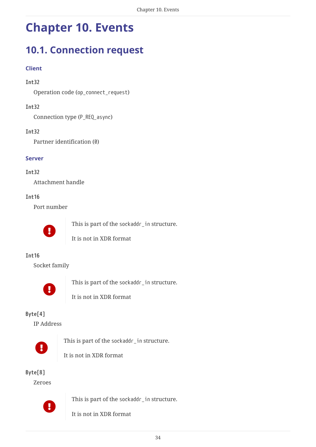# <span id="page-34-0"></span>**Chapter 10. Events**

# <span id="page-34-1"></span>**10.1. Connection request**

# **Client**

# **Int32**

Operation code (op\_connect\_request)

# **Int32**

Connection type (P\_REQ\_async)

### **Int32**

Partner identification (0)

### **Server**

### **Int32**

Attachment handle

### **Int16**

Port number



This is part of the sockaddr\_in structure.



# **Int16**

Socket family



This is part of the sockaddr in structure.



It is not in XDR format

# **Byte[4]**

IP Address



This is part of the sockaddr in structure.



# **Byte[8]**

Zeroes



This is part of the sockaddr\_in structure.

It is not in XDR format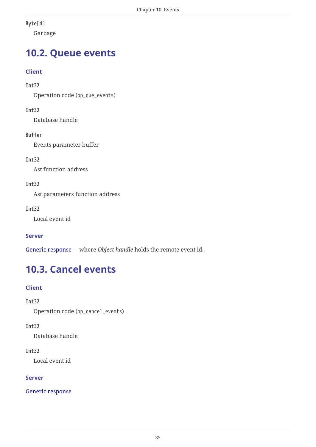# **Byte[4]**

Garbage

# <span id="page-35-0"></span>**10.2. Queue events**

# **Client**

# **Int32**

Operation code (op\_que\_events)

### **Int32**

Database handle

# **Buffer**

Events parameter buffer

# **Int32**

Ast function address

### **Int32**

Ast parameters function address

### **Int32**

Local event id

# **Server**

[Generic response](#page-4-1) — where *Object handle* holds the remote event id.

# <span id="page-35-1"></span>**10.3. Cancel events**

# **Client**

# **Int32**

Operation code (op\_cancel\_events)

# **Int32**

Database handle

#### **Int32**

Local event id

# **Server**

[Generic response](#page-4-1)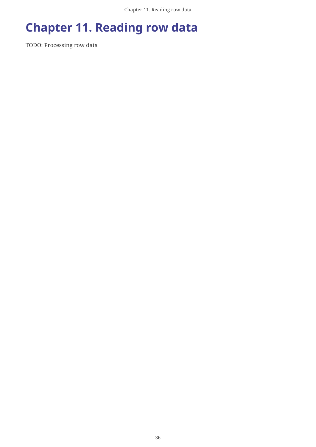# <span id="page-36-0"></span>**Chapter 11. Reading row data**

TODO: Processing row data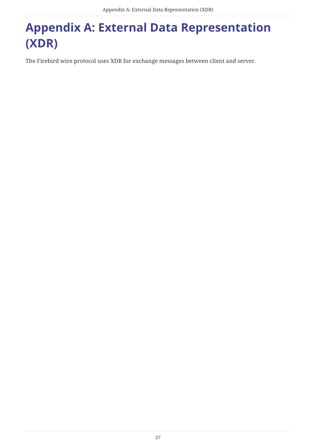# <span id="page-37-0"></span>**Appendix A: External Data Representation (XDR)**

The Firebird wire protocol uses XDR for exchange messages between client and server.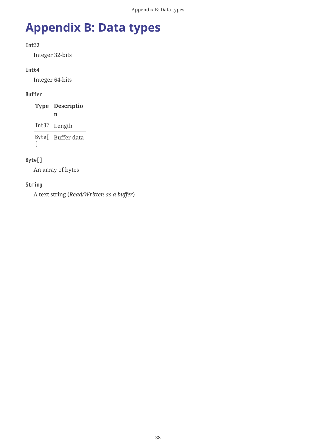# <span id="page-38-0"></span>**Appendix B: Data types**

# **Int32**

Integer 32-bits

# **Int64**

Integer 64-bits

# **Buffer**

| <b>Type Descriptio</b> |
|------------------------|
| n                      |
| Int32 Length           |
| Byte[ Buffer data      |

 $\overline{1}$ 

# **Byte[]**

An array of bytes

# **String**

A text string (*Read/Written as a buffer*)